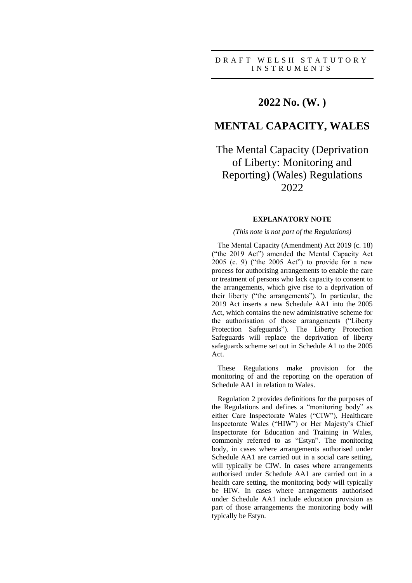## **2022 No. (W. )**

## **MENTAL CAPACITY, WALES**

# The Mental Capacity (Deprivation of Liberty: Monitoring and Reporting) (Wales) Regulations 2022

### **EXPLANATORY NOTE**

### *(This note is not part of the Regulations)*

The Mental Capacity (Amendment) Act 2019 (c. 18) ("the 2019 Act") amended the Mental Capacity Act 2005 (c. 9) ("the 2005 Act") to provide for a new process for authorising arrangements to enable the care or treatment of persons who lack capacity to consent to the arrangements, which give rise to a deprivation of their liberty ("the arrangements"). In particular, the 2019 Act inserts a new Schedule AA1 into the 2005 Act, which contains the new administrative scheme for the authorisation of those arrangements ("Liberty Protection Safeguards"). The Liberty Protection Safeguards will replace the deprivation of liberty safeguards scheme set out in Schedule A1 to the 2005 Act.

These Regulations make provision for the monitoring of and the reporting on the operation of Schedule AA1 in relation to Wales.

Regulation 2 provides definitions for the purposes of the Regulations and defines a "monitoring body" as either Care Inspectorate Wales ("CIW"), Healthcare Inspectorate Wales ("HIW") or Her Majesty's Chief Inspectorate for Education and Training in Wales, commonly referred to as "Estyn". The monitoring body, in cases where arrangements authorised under Schedule AA1 are carried out in a social care setting, will typically be CIW. In cases where arrangements authorised under Schedule AA1 are carried out in a health care setting, the monitoring body will typically be HIW. In cases where arrangements authorised under Schedule AA1 include education provision as part of those arrangements the monitoring body will typically be Estyn.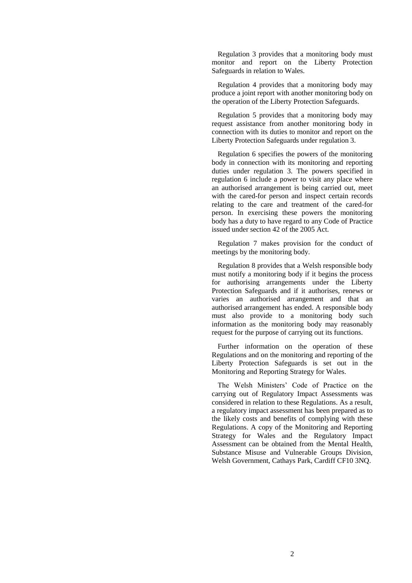Regulation 3 provides that a monitoring body must monitor and report on the Liberty Protection Safeguards in relation to Wales.

Regulation 4 provides that a monitoring body may produce a joint report with another monitoring body on the operation of the Liberty Protection Safeguards.

Regulation 5 provides that a monitoring body may request assistance from another monitoring body in connection with its duties to monitor and report on the Liberty Protection Safeguards under regulation 3.

Regulation 6 specifies the powers of the monitoring body in connection with its monitoring and reporting duties under regulation 3. The powers specified in regulation 6 include a power to visit any place where an authorised arrangement is being carried out, meet with the cared-for person and inspect certain records relating to the care and treatment of the cared-for person. In exercising these powers the monitoring body has a duty to have regard to any Code of Practice issued under section 42 of the 2005 Act.

Regulation 7 makes provision for the conduct of meetings by the monitoring body.

Regulation 8 provides that a Welsh responsible body must notify a monitoring body if it begins the process for authorising arrangements under the Liberty Protection Safeguards and if it authorises, renews or varies an authorised arrangement and that an authorised arrangement has ended. A responsible body must also provide to a monitoring body such information as the monitoring body may reasonably request for the purpose of carrying out its functions.

Further information on the operation of these Regulations and on the monitoring and reporting of the Liberty Protection Safeguards is set out in the Monitoring and Reporting Strategy for Wales.

The Welsh Ministers' Code of Practice on the carrying out of Regulatory Impact Assessments was considered in relation to these Regulations. As a result, a regulatory impact assessment has been prepared as to the likely costs and benefits of complying with these Regulations. A copy of the Monitoring and Reporting Strategy for Wales and the Regulatory Impact Assessment can be obtained from the Mental Health, Substance Misuse and Vulnerable Groups Division, Welsh Government, Cathays Park, Cardiff CF10 3NQ.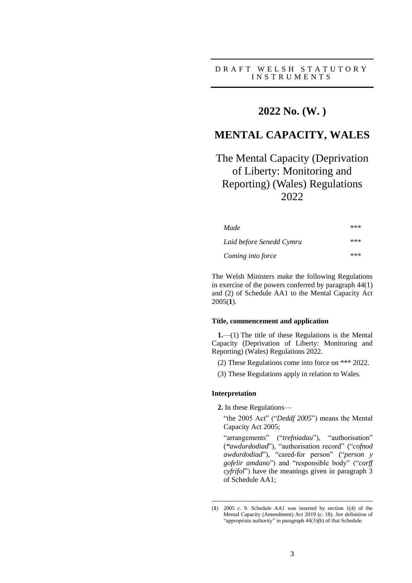D R A F T W E L S H S T A T U T O R Y I N S T R U M E N T S

## **2022 No. (W. )**

# **MENTAL CAPACITY, WALES**

# The Mental Capacity (Deprivation of Liberty: Monitoring and Reporting) (Wales) Regulations 2022

| Made                                          | *** |
|-----------------------------------------------|-----|
| Laid before Senedd Cymru<br>Coming into force | *** |
|                                               | *** |

The Welsh Ministers make the following Regulations in exercise of the powers conferred by paragraph 44(1) and (2) of Schedule AA1 to the Mental Capacity Act 2005(**1**).

#### **Title, commencement and application**

**1.**—(1) The title of these Regulations is the Mental Capacity (Deprivation of Liberty: Monitoring and Reporting) (Wales) Regulations 2022.

(2) These Regulations come into force on \*\*\* 2022.

(3) These Regulations apply in relation to Wales.

#### **Interpretation**

<u>.</u>

**2.** In these Regulations—

"the 2005 Act" ("*Deddf 2005*") means the Mental Capacity Act 2005;

"arrangements" ("*trefniadau*"), "authorisation" (*"awdurdodiad*"), "authorisation record" ("*cofnod awdurdodiad*"), "cared-for person" ("*person y gofelir amdano*") and "responsible body" ("*corff cyfrifol*") have the meanings given in paragraph 3 of Schedule AA1;

<sup>(</sup>**1**) 2005 c. 9. Schedule AA1 was inserted by section 1(4) of the Mental Capacity (Amendment) Act 2019 (c. 18). *See* definition of "appropriate authority" in paragraph 44(3)(b) of that Schedule.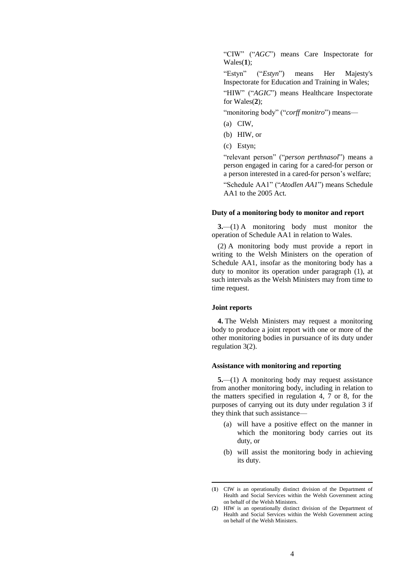"CIW" ("*AGC*") means Care Inspectorate for Wales(**1**);

"Estyn" ("*Estyn*") means Her Majesty's Inspectorate for Education and Training in Wales;

"HIW" ("*AGIC*") means Healthcare Inspectorate for Wales(**2**);

"monitoring body" ("*corff monitro*") means—

- (a) CIW,
- (b) HIW, or
- (c) Estyn;

"relevant person" ("*person perthnasol*") means a person engaged in caring for a cared-for person or a person interested in a cared-for person's welfare;

"Schedule AA1" ("*Atodlen AA1*") means Schedule AA1 to the 2005 Act.

#### **Duty of a monitoring body to monitor and report**

**3.**—(1) A monitoring body must monitor the operation of Schedule AA1 in relation to Wales.

(2) A monitoring body must provide a report in writing to the Welsh Ministers on the operation of Schedule AA1, insofar as the monitoring body has a duty to monitor its operation under paragraph (1), at such intervals as the Welsh Ministers may from time to time request.

#### **Joint reports**

<u>.</u>

**4.** The Welsh Ministers may request a monitoring body to produce a joint report with one or more of the other monitoring bodies in pursuance of its duty under regulation 3(2).

#### **Assistance with monitoring and reporting**

**5.**—(1) A monitoring body may request assistance from another monitoring body, including in relation to the matters specified in regulation 4, 7 or 8, for the purposes of carrying out its duty under regulation 3 if they think that such assistance—

- (a) will have a positive effect on the manner in which the monitoring body carries out its duty, or
- (b) will assist the monitoring body in achieving its duty.

<sup>(</sup>**1**) CIW is an operationally distinct division of the Department of Health and Social Services within the Welsh Government acting on behalf of the Welsh Ministers.

<sup>(</sup>**2**) HIW is an operationally distinct division of the Department of Health and Social Services within the Welsh Government acting on behalf of the Welsh Ministers.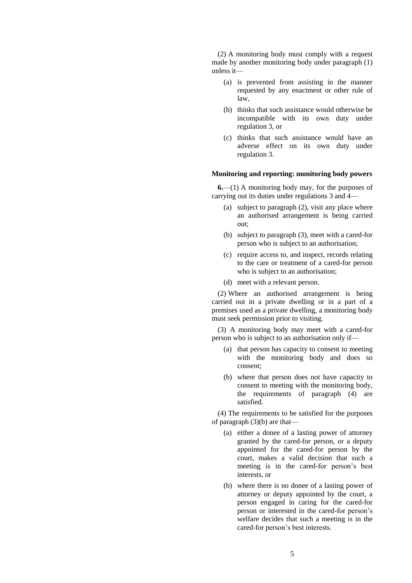(2) A monitoring body must comply with a request made by another monitoring body under paragraph (1) unless it—

- (a) is prevented from assisting in the manner requested by any enactment or other rule of law,
- (b) thinks that such assistance would otherwise be incompatible with its own duty under regulation 3, or
- (c) thinks that such assistance would have an adverse effect on its own duty under regulation 3.

#### **Monitoring and reporting: monitoring body powers**

**6.**—(1) A monitoring body may, for the purposes of carrying out its duties under regulations 3 and 4—

- (a) subject to paragraph (2), visit any place where an authorised arrangement is being carried out;
- (b) subject to paragraph (3), meet with a cared-for person who is subject to an authorisation;
- (c) require access to, and inspect, records relating to the care or treatment of a cared-for person who is subject to an authorisation;
- (d) meet with a relevant person.

(2) Where an authorised arrangement is being carried out in a private dwelling or in a part of a premises used as a private dwelling, a monitoring body must seek permission prior to visiting.

(3) A monitoring body may meet with a cared-for person who is subject to an authorisation only if—

- (a) that person has capacity to consent to meeting with the monitoring body and does so consent;
- (b) where that person does not have capacity to consent to meeting with the monitoring body, the requirements of paragraph (4) are satisfied.

(4) The requirements to be satisfied for the purposes of paragraph  $(3)(b)$  are that—

- (a) either a donee of a lasting power of attorney granted by the cared-for person, or a deputy appointed for the cared-for person by the court, makes a valid decision that such a meeting is in the cared-for person's best interests, or
- (b) where there is no donee of a lasting power of attorney or deputy appointed by the court, a person engaged in caring for the cared-for person or interested in the cared-for person's welfare decides that such a meeting is in the cared-for person's best interests.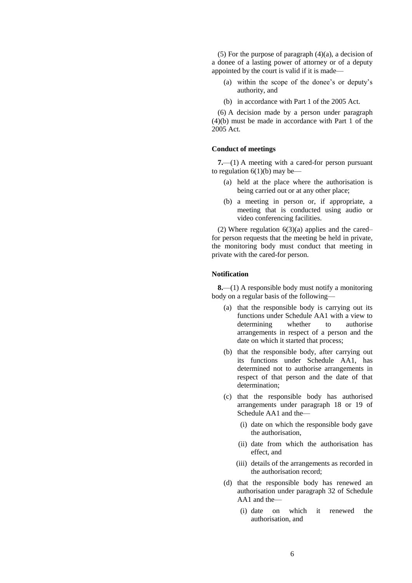(5) For the purpose of paragraph  $(4)(a)$ , a decision of a donee of a lasting power of attorney or of a deputy appointed by the court is valid if it is made—

- (a) within the scope of the donee's or deputy's authority, and
- (b) in accordance with Part 1 of the 2005 Act.

(6) A decision made by a person under paragraph (4)(b) must be made in accordance with Part 1 of the 2005 Act.

### **Conduct of meetings**

**7.**—(1) A meeting with a cared-for person pursuant to regulation  $6(1)(b)$  may be—

- (a) held at the place where the authorisation is being carried out or at any other place;
- (b) a meeting in person or, if appropriate, a meeting that is conducted using audio or video conferencing facilities.

(2) Where regulation  $6(3)(a)$  applies and the cared– for person requests that the meeting be held in private, the monitoring body must conduct that meeting in private with the cared-for person.

#### **Notification**

**8.**—(1) A responsible body must notify a monitoring body on a regular basis of the following—

- (a) that the responsible body is carrying out its functions under Schedule AA1 with a view to determining whether to authorise arrangements in respect of a person and the date on which it started that process;
- (b) that the responsible body, after carrying out its functions under Schedule AA1, has determined not to authorise arrangements in respect of that person and the date of that determination;
- (c) that the responsible body has authorised arrangements under paragraph 18 or 19 of Schedule AA1 and the—
	- (i) date on which the responsible body gave the authorisation,
	- (ii) date from which the authorisation has effect, and
	- (iii) details of the arrangements as recorded in the authorisation record;
- (d) that the responsible body has renewed an authorisation under paragraph 32 of Schedule AA1 and the—
	- (i) date on which it renewed the authorisation, and